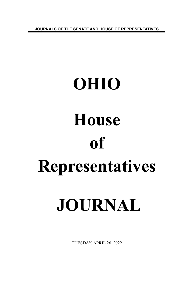**JOURNALS OF THE SENATE AND HOUSE OF REPRESENTATIVES**

# **OHIO House of Representatives JOURNAL**

TUESDAY, APRIL 26, 2022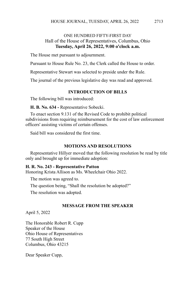# ONE HUNDRED FIFTY-FIRST DAY Hall of the House of Representatives, Columbus, Ohio **Tuesday, April 26, 2022, 9:00 o'clock a.m.**

The House met pursuant to adjournment.

Pursuant to House Rule No. 23, the Clerk called the House to order.

Representative Stewart was selected to preside under the Rule.

The journal of the previous legislative day was read and approved.

# **INTRODUCTION OF BILLS**

The following bill was introduced:

**H. B. No. 634 -** Representative Sobecki.

To enact section 9.131 of the Revised Code to prohibit political subdivisions from requiring reimbursement for the cost of law enforcement officers' assisting victims of certain offenses.

Said bill was considered the first time.

# **MOTIONS AND RESOLUTIONS**

Representative Hillyer moved that the following resolution be read by title only and brought up for immediate adoption:

### **H. R. No. 243 - Representative Patton**

Honoring Krista Allison as Ms. Wheelchair Ohio 2022.

The motion was agreed to.

The question being, "Shall the resolution be adopted?"

The resolution was adopted.

# **MESSAGE FROM THE SPEAKER**

April 5, 2022

The Honorable Robert R. Cupp Speaker of the House Ohio House of Representatives 77 South High Street Columbus, Ohio 43215

Dear Speaker Cupp,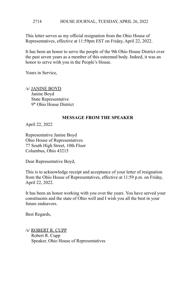#### HOUSE JOURNAL, TUESDAY, APRIL 26, 2022 2714

This letter serves as my official resignation from the Ohio House of Representatives, effective at 11:59pm EST on Friday, April 22, 2022.

It has been an honor to serve the people of the 9th Ohio House District over the past seven years as a member of this esteemed body. Indeed, it was an honor to serve with you in the People's House.

Yours in Service,

/s/ JANINE BOYD Janine Boyd State Representative 9<sup>th</sup> Ohio House District

## **MESSAGE FROM THE SPEAKER**

April 22, 2022

Representative Janine Boyd Ohio House of Representatives 77 South High Street, 10th Floor Columbus, Ohio 43215

Dear Representative Boyd,

This is to acknowledge receipt and acceptance of your letter of resignation from the Ohio House of Representatives, effective at 11:59 p.m. on Friday, April 22, 2022.

It has been an honor working with you over the years. You have served your constituents and the state of Ohio well and I wish you all the best in your future endeavors.

Best Regards,

/s/ ROBERT R. CUPP Robert R. Cupp Speaker, Ohio House of Representatives